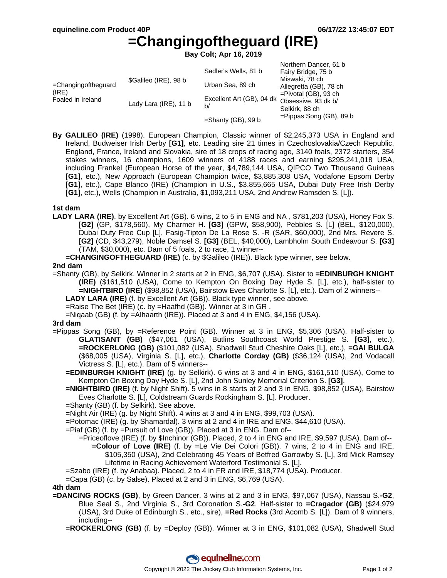# **=Changingoftheguard (IRE)**

**Bay Colt; Apr 16, 2019**

|                                                      |                       |                                               | Northern Dancer, 61 b      |
|------------------------------------------------------|-----------------------|-----------------------------------------------|----------------------------|
|                                                      |                       | Sadler's Wells, 81 b                          | Fairy Bridge, 75 b         |
| $=$ Changingoftheguard<br>(IRE)<br>Foaled in Ireland | \$Galileo (IRE), 98 b |                                               | Miswaki, 78 ch             |
|                                                      |                       | Urban Sea, 89 ch                              | Allegretta (GB), 78 ch     |
|                                                      | Lady Lara (IRE), 11 b | Excellent Art (GB), 04 dk Obsessive, 93 dk b/ | $=$ Pivotal (GB), 93 ch    |
|                                                      |                       |                                               |                            |
|                                                      |                       | b/                                            | Selkirk, 88 ch             |
|                                                      |                       | $=$ Shanty (GB), 99 b                         | $=$ Pippas Song (GB), 89 b |

**By GALILEO (IRE)** (1998). European Champion, Classic winner of \$2,245,373 USA in England and Ireland, Budweiser Irish Derby **[G1]**, etc. Leading sire 21 times in Czechoslovakia/Czech Republic, England, France, Ireland and Slovakia, sire of 18 crops of racing age, 3140 foals, 2372 starters, 354 stakes winners, 16 champions, 1609 winners of 4188 races and earning \$295,241,018 USA, including Frankel (European Horse of the year, \$4,789,144 USA, QIPCO Two Thousand Guineas **[G1]**, etc.), New Approach (European Champion twice, \$3,885,308 USA, Vodafone Epsom Derby **[G1]**, etc.), Cape Blanco (IRE) (Champion in U.S., \$3,855,665 USA, Dubai Duty Free Irish Derby **[G1]**, etc.), Wells (Champion in Australia, \$1,093,211 USA, 2nd Andrew Ramsden S. [L]).

#### **1st dam**

**LADY LARA (IRE)**, by Excellent Art (GB). 6 wins, 2 to 5 in ENG and NA , \$781,203 (USA), Honey Fox S. **[G2]** (GP, \$178,560), My Charmer H. **[G3]** (GPW, \$58,900), Pebbles S. [L] (BEL, \$120,000), Dubai Duty Free Cup [L], Fasig-Tipton De La Rose S. -R (SAR, \$60,000), 2nd Mrs. Revere S. **[G2]** (CD, \$43,279), Noble Damsel S. **[G3]** (BEL, \$40,000), Lambholm South Endeavour S. **[G3]** (TAM, \$30,000), etc. Dam of 5 foals, 2 to race, 1 winner--

**=CHANGINGOFTHEGUARD (IRE)** (c. by \$Galileo (IRE)). Black type winner, see below.

#### **2nd dam**

- =Shanty (GB), by Selkirk. Winner in 2 starts at 2 in ENG, \$6,707 (USA). Sister to **=EDINBURGH KNIGHT (IRE)** (\$161,510 (USA), Come to Kempton On Boxing Day Hyde S. [L], etc.), half-sister to **=NIGHTBIRD (IRE)** (\$98,852 (USA), Bairstow Eves Charlotte S. [L], etc.). Dam of 2 winners--
	- **LADY LARA (IRE)** (f. by Excellent Art (GB)). Black type winner, see above.
	- =Raise The Bet (IRE) (c. by =Haafhd (GB)). Winner at 3 in GR .
	- =Niqaab (GB) (f. by =Alhaarth (IRE)). Placed at 3 and 4 in ENG, \$4,156 (USA).

#### **3rd dam**

- =Pippas Song (GB), by =Reference Point (GB). Winner at 3 in ENG, \$5,306 (USA). Half-sister to **GLATISANT (GB)** (\$47,061 (USA), Butlins Southcoast World Prestige S. **[G3]**, etc.), **=ROCKERLONG (GB)** (\$101,082 (USA), Shadwell Stud Cheshire Oaks [L], etc.), **=GAI BULGA** (\$68,005 (USA), Virginia S. [L], etc.), **Charlotte Corday (GB)** (\$36,124 (USA), 2nd Vodacall Victress S. [L], etc.). Dam of 5 winners--
	- **=EDINBURGH KNIGHT (IRE)** (g. by Selkirk). 6 wins at 3 and 4 in ENG, \$161,510 (USA), Come to Kempton On Boxing Day Hyde S. [L], 2nd John Sunley Memorial Criterion S. **[G3]**.
	- **=NIGHTBIRD (IRE)** (f. by Night Shift). 5 wins in 8 starts at 2 and 3 in ENG, \$98,852 (USA), Bairstow Eves Charlotte S. [L], Coldstream Guards Rockingham S. [L]. Producer.
	- =Shanty (GB) (f. by Selkirk). See above.

=Night Air (IRE) (g. by Night Shift). 4 wins at 3 and 4 in ENG, \$99,703 (USA).

- =Potomac (IRE) (g. by Shamardal). 3 wins at 2 and 4 in IRE and ENG, \$44,610 (USA).
- =Piaf (GB) (f. by =Pursuit of Love (GB)). Placed at 3 in ENG. Dam of--
	- =Priceoflove (IRE) (f. by \$Inchinor (GB)). Placed, 2 to 4 in ENG and IRE, \$9,597 (USA). Dam of-- **=Colour of Love (IRE)** (f. by =Le Vie Dei Colori (GB)). 7 wins, 2 to 4 in ENG and IRE, \$105,350 (USA), 2nd Celebrating 45 Years of Betfred Garrowby S. [L], 3rd Mick Ramsey Lifetime in Racing Achievement Waterford Testimonial S. [L].
- =Szabo (IRE) (f. by Anabaa). Placed, 2 to 4 in FR and IRE, \$18,774 (USA). Producer.

=Capa (GB) (c. by Salse). Placed at 2 and 3 in ENG, \$6,769 (USA).

### **4th dam**

**=DANCING ROCKS (GB)**, by Green Dancer. 3 wins at 2 and 3 in ENG, \$97,067 (USA), Nassau S.**-G2**, Blue Seal S., 2nd Virginia S., 3rd Coronation S.**-G2**. Half-sister to **=Cragador (GB)** (\$24,979 (USA), 3rd Duke of Edinburgh S., etc., sire), **=Red Rocks** (3rd Acomb S. [L]). Dam of 9 winners, including--

**=ROCKERLONG (GB)** (f. by =Deploy (GB)). Winner at 3 in ENG, \$101,082 (USA), Shadwell Stud